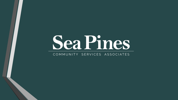# Sea Pines

#### COMMUNITY SERVICES ASSOCIATES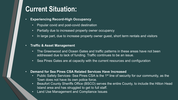# **Current Situation:**

- **Experiencing Record-High Occupancy** 
	- Popular covid and post-covid destination
	- Partially due to increased property owner occupancy
	- In large part, due to increase property owner guest, short term rentals and visitors

#### • **Traffic & Asset Management**

- The Greenwood and Ocean Gates and traffic patterns in these areas have not been addressed due to lack of funding. Traffic continues to be an issue.
- Sea Pines Gates are at capacity with the current resources and configuration
- **Demand for Sea Pines CSA Related Services Have Increased**
	- Public Safety Services- Sea Pines CSA is the 1<sup>st</sup> line of security for our community, as the Town does not have its own police force.
	- Beaufort County Sheriffs Office (BSCO) serves the entire County, to include the Hilton Head Island area and has struggled to get to full staff.
	- Land Use Management and Compliance Issues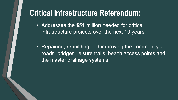# **Critical Infrastructure Referendum:**

- Addresses the \$51 million needed for critical infrastructure projects over the next 10 years.
- Repairing, rebuilding and improving the community's roads, bridges, leisure trails, beach access points and the master drainage systems.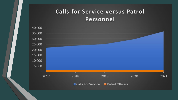#### **Calls for Service versus Patrol** Personnel

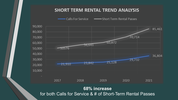#### **SHORT TERM RENTAL TREND ANALYSIS**



**68% increase**  for both Calls for Service & # of Short-Term Rental Passes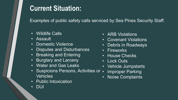# **Current Situation:**

Examples of public safety calls serviced by Sea Pines Security Staff:

- Wildlife Calls
- Assault
- Domestic Violence
- Disputes and Disturbances
- Breaking and Entering
- Burglary and Larceny
- Water and Gas Leaks
- Suspicions Persons, Activities or . Vehicles
- Public Intoxication
- DUI
- ARB Violations
- Covenant Violations
- Debris in Roadways
- Fireworks
- House Checks
- Lock Outs
- Vehicle Jumpstarts
- **Improper Parking**
- Noise Complaints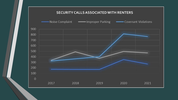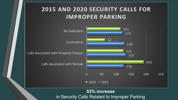#### 2015 AND 2020 SECURITY CALLS FOR **IMPROPER PARKING**



**53% increase**  in Security Calls Related to Improper Parking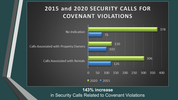#### 2015 and 2020 SECURITY CALLS FOR **COVENANT VIOLATIONS**



#### **143% increase** in Security Calls Related to Covenant Violations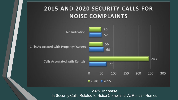#### 2015 AND 2020 SECURITY CALLS FOR **NOISE COMPLAINTS**



**237% increase**  in Security Calls Related to Noise Complaints At Rentals Homes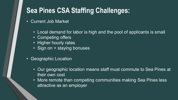# **Sea Pines CSA Staffing Challenges:**

- Current Job Market
	- Local demand for labor is high and the pool of applicants is small
	- Competing offers
	- Higher hourly rates
	- Sign on + staying bonuses
- Geographic Location
	- Our geographic location means staff must commute to Sea Pines at their own cost
	- More remote than competing communities making Sea Pines less attractive as an employer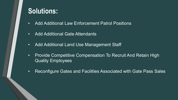# **Solutions:**

- Add Additional Law Enforcement Patrol Positions
- Add Additional Gate Attendants
- Add Additional Land Use Management Staff
- Provide Competitive Compensation To Recruit And Retain High Quality Employees
- Reconfigure Gates and Facilities Associated with Gate Pass Sales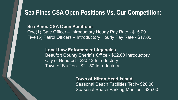#### **Sea Pines CSA Open Positions Vs. Our Competition:**

#### **Sea Pines CSA Open Positions**

One(1) Gate Officer – Introductory Hourly Pay Rate - \$15.00 Five (5) Patrol Officers – Introductory Hourly Pay Rate - \$17.00

#### **Local Law Enforcement Agencies**

Beaufort County Sheriff's Office - \$22.60 Introductory City of Beaufort - \$20.43 Introductory Town of Bluffton - \$21.50 Introductory

#### **Town of Hilton Head Island**

Seasonal Beach Facilities Tech- \$20.00 Seasonal Beach Parking Monitor - \$25.00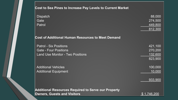| Cost to Sea Pines to Increase Pay Levels to Current Market                                               |                                          |
|----------------------------------------------------------------------------------------------------------|------------------------------------------|
| <b>Dispatch</b><br>Gate<br>Patrol                                                                        | 88,000<br>274,500<br>449,800<br>812,300  |
| <b>Cost of Additional Human Resources to Meet Demand</b>                                                 |                                          |
| <b>Patrol - Six Positions</b><br><b>Gate - Four Positions</b><br><b>Land Use Monitor - Two Positions</b> | 421,100<br>270,200<br>132,600<br>823,900 |
| <b>Additional Vehicles</b><br><b>Additional Equipment</b>                                                | 100,000<br>10,000<br>933,900             |
| <b>Additional Resources Required to Serve our Property</b><br><b>Owners, Guests and Visitors</b>         | \$1,746,200                              |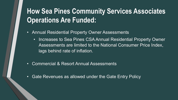# **How Sea Pines Community Services Associates Operations Are Funded:**

- Annual Residential Property Owner Assessments
	- Increases to Sea Pines CSA Annual Residential Property Owner Assessments are limited to the National Consumer Price Index, lags behind rate of inflation.
- Commercial & Resort Annual Assessments
- Gate Revenues as allowed under the Gate Entry Policy